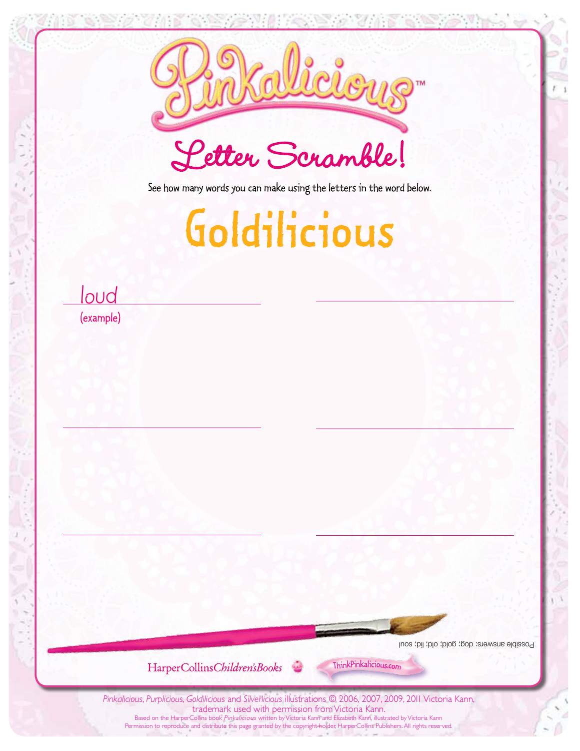

See how many words you can make using the letters in the word below.

## Goldilicious

loud (example)

Possible answers: dog; gold; old; lid; soul

HarperCollinsChildren'sBooks



*Pinkalicious*, *Purplicious*, *Goldilicious* and *Silverlicious* illustrations © 2006, 2007, 2009, 2011 Victoria Kann, trademark used with permission from Victoria Kann. Based on the HarperCollins book Pinkalicious written by Victoria Kann and Elizabeth Kann, illustrated by Victoria Kann Permission to reproduce and distribute this page granted by the copyright holder, HarperCollins Publishers. All rights reserved.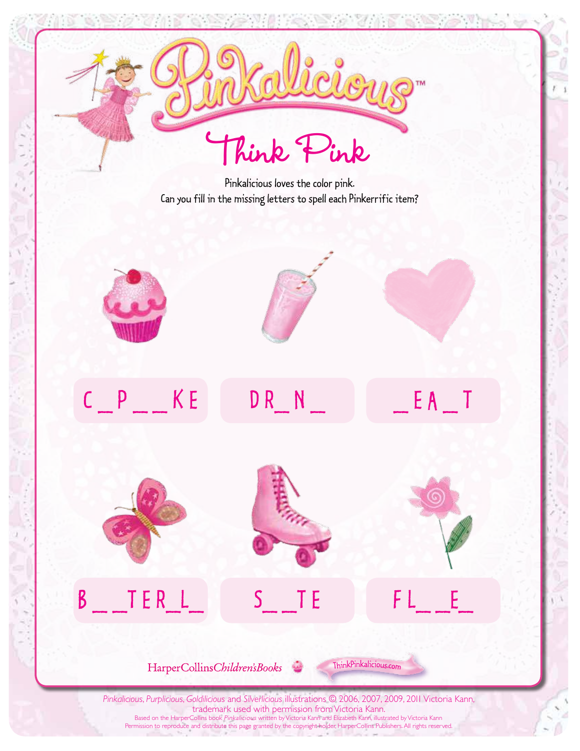